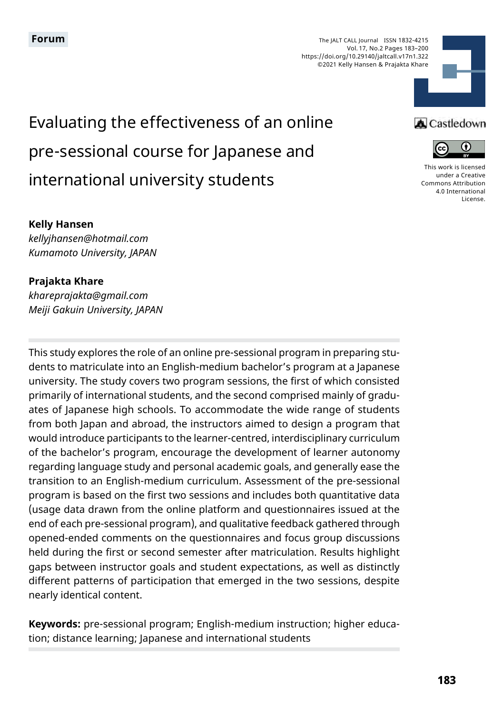The JALT CALL Journal ISSN 1832-4215 Vol. 17, No.2 Pages 183–200 https://doi.org/10.29140/jaltcall.v17n1.322 ©2021 Kelly Hansen & Prajakta Khare



Evaluating the effectiveness of an online pre-sessional course for Japanese and international university students

### **A** Castledown



[This work is licensed](https://creativecommons.org/licenses/by/4.0/)  [under a Creative](https://creativecommons.org/licenses/by/4.0/)  [Commons Attribution](https://creativecommons.org/licenses/by/4.0/)  [4.0 International](https://creativecommons.org/licenses/by/4.0/)  [License](https://creativecommons.org/licenses/by/4.0/).

#### **Kelly Hansen**

*kellyjhansen@hotmail.com Kumamoto University, JAPAN*

#### **Prajakta Khare**

*khareprajakta@gmail.com Meiji Gakuin University, JAPAN*

This study explores the role of an online pre-sessional program in preparing students to matriculate into an English-medium bachelor's program at a Japanese university. The study covers two program sessions, the first of which consisted primarily of international students, and the second comprised mainly of graduates of Japanese high schools. To accommodate the wide range of students from both Japan and abroad, the instructors aimed to design a program that would introduce participants to the learner-centred, interdisciplinary curriculum of the bachelor's program, encourage the development of learner autonomy regarding language study and personal academic goals, and generally ease the transition to an English-medium curriculum. Assessment of the pre-sessional program is based on the first two sessions and includes both quantitative data (usage data drawn from the online platform and questionnaires issued at the end of each pre-sessional program), and qualitative feedback gathered through opened-ended comments on the questionnaires and focus group discussions held during the first or second semester after matriculation. Results highlight gaps between instructor goals and student expectations, as well as distinctly different patterns of participation that emerged in the two sessions, despite nearly identical content.

**Keywords:** pre-sessional program; English-medium instruction; higher education; distance learning; Japanese and international students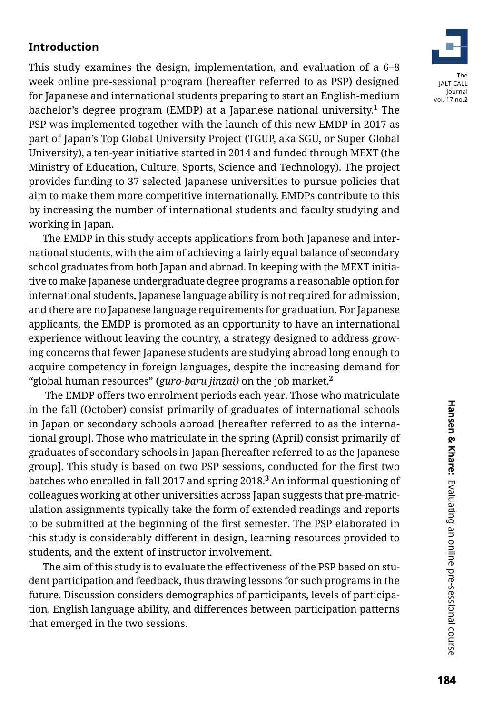# **Introduction**

This study examines the design, implementation, and evaluation of a 6–8 week online pre-sessional program (hereafter referred to as PSP) designed for Japanese and international students preparing to start an English-medium bachelor's degree program (EMDP) at a Japanese national university.**<sup>1</sup>** The PSP was implemented together with the launch of this new EMDP in 2017 as part of Japan's Top Global University Project (TGUP, aka SGU, or Super Global University), a ten-year initiative started in 2014 and funded through MEXT (the Ministry of Education, Culture, Sports, Science and Technology). The project provides funding to 37 selected Japanese universities to pursue policies that aim to make them more competitive internationally. EMDPs contribute to this by increasing the number of international students and faculty studying and working in Japan.

The EMDP in this study accepts applications from both Japanese and international students, with the aim of achieving a fairly equal balance of secondary school graduates from both Japan and abroad. In keeping with the MEXT initiative to make Japanese undergraduate degree programs a reasonable option for international students, Japanese language ability is not required for admission, and there are no Japanese language requirements for graduation. For Japanese applicants, the EMDP is promoted as an opportunity to have an international experience without leaving the country, a strategy designed to address growing concerns that fewer Japanese students are studying abroad long enough to acquire competency in foreign languages, despite the increasing demand for "global human resources" (*guro-baru jinzai)* on the job market.**<sup>2</sup>**

 The EMDP offers two enrolment periods each year. Those who matriculate in the fall (October) consist primarily of graduates of international schools in Japan or secondary schools abroad [hereafter referred to as the international group]. Those who matriculate in the spring (April) consist primarily of graduates of secondary schools in Japan [hereafter referred to as the Japanese group]. This study is based on two PSP sessions, conducted for the first two batches who enrolled in fall 2017 and spring 2018.**<sup>3</sup>** An informal questioning of colleagues working at other universities across Japan suggests that pre-matriculation assignments typically take the form of extended readings and reports to be submitted at the beginning of the first semester. The PSP elaborated in this study is considerably different in design, learning resources provided to students, and the extent of instructor involvement.

The aim of this study is to evaluate the effectiveness of the PSP based on student participation and feedback, thus drawing lessons for such programs in the future. Discussion considers demographics of participants, levels of participation, English language ability, and differences between participation patterns that emerged in the two sessions.

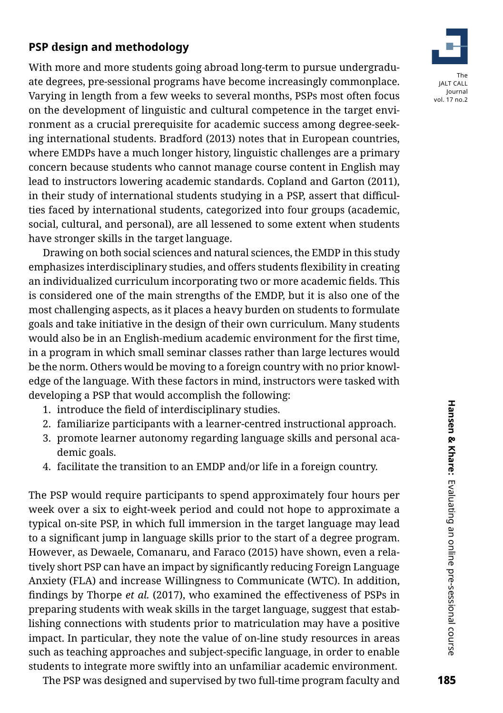# **PSP design and methodology**

With more and more students going abroad long-term to pursue undergraduate degrees, pre-sessional programs have become increasingly commonplace. Varying in length from a few weeks to several months, PSPs most often focus on the development of linguistic and cultural competence in the target environment as a crucial prerequisite for academic success among degree-seeking international students. Bradford (2013) notes that in European countries, where EMDPs have a much longer history, linguistic challenges are a primary concern because students who cannot manage course content in English may lead to instructors lowering academic standards. Copland and Garton (2011), in their study of international students studying in a PSP, assert that difficulties faced by international students, categorized into four groups (academic, social, cultural, and personal), are all lessened to some extent when students have stronger skills in the target language.

Drawing on both social sciences and natural sciences, the EMDP in this study emphasizes interdisciplinary studies, and offers students flexibility in creating an individualized curriculum incorporating two or more academic fields. This is considered one of the main strengths of the EMDP, but it is also one of the most challenging aspects, as it places a heavy burden on students to formulate goals and take initiative in the design of their own curriculum. Many students would also be in an English-medium academic environment for the first time, in a program in which small seminar classes rather than large lectures would be the norm. Others would be moving to a foreign country with no prior knowledge of the language. With these factors in mind, instructors were tasked with developing a PSP that would accomplish the following:

- 1. introduce the field of interdisciplinary studies.
- 2. familiarize participants with a learner-centred instructional approach.
- 3. promote learner autonomy regarding language skills and personal academic goals.
- 4. facilitate the transition to an EMDP and/or life in a foreign country.

The PSP would require participants to spend approximately four hours per week over a six to eight-week period and could not hope to approximate a typical on-site PSP, in which full immersion in the target language may lead to a significant jump in language skills prior to the start of a degree program. However, as Dewaele, Comanaru, and Faraco (2015) have shown, even a relatively short PSP can have an impact by significantly reducing Foreign Language Anxiety (FLA) and increase Willingness to Communicate (WTC). In addition, findings by Thorpe *et al.* (2017), who examined the effectiveness of PSPs in preparing students with weak skills in the target language, suggest that establishing connections with students prior to matriculation may have a positive impact. In particular, they note the value of on-line study resources in areas such as teaching approaches and subject-specific language, in order to enable students to integrate more swiftly into an unfamiliar academic environment.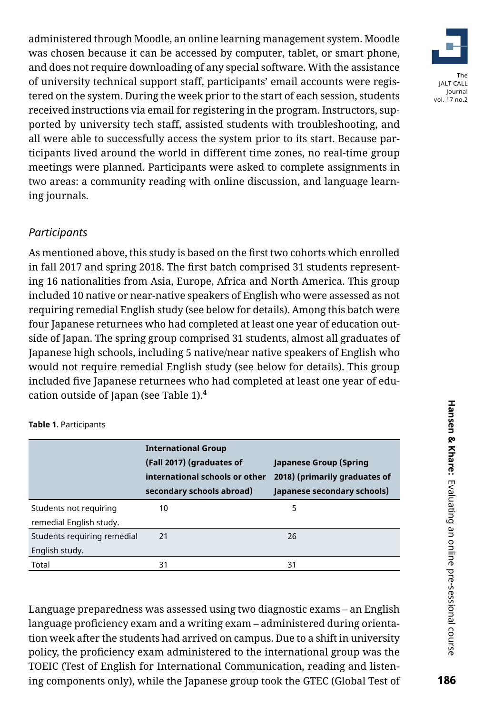administered through Moodle, an online learning management system. Moodle was chosen because it can be accessed by computer, tablet, or smart phone, and does not require downloading of any special software. With the assistance of university technical support staff, participants' email accounts were registered on the system. During the week prior to the start of each session, students received instructions via email for registering in the program. Instructors, supported by university tech staff, assisted students with troubleshooting, and all were able to successfully access the system prior to its start. Because participants lived around the world in different time zones, no real-time group meetings were planned. Participants were asked to complete assignments in two areas: a community reading with online discussion, and language learning journals.

# *Participants*

As mentioned above, this study is based on the first two cohorts which enrolled in fall 2017 and spring 2018. The first batch comprised 31 students representing 16 nationalities from Asia, Europe, Africa and North America. This group included 10 native or near-native speakers of English who were assessed as not requiring remedial English study (see below for details). Among this batch were four Japanese returnees who had completed at least one year of education outside of Japan. The spring group comprised 31 students, almost all graduates of Japanese high schools, including 5 native/near native speakers of English who would not require remedial English study (see below for details). This group included five Japanese returnees who had completed at least one year of education outside of Japan (see Table 1).**<sup>4</sup>**

|                             | <b>International Group</b><br>(Fall 2017) (graduates of<br>international schools or other<br>secondary schools abroad) | Japanese Group (Spring<br>2018) (primarily graduates of<br>Japanese secondary schools) |
|-----------------------------|------------------------------------------------------------------------------------------------------------------------|----------------------------------------------------------------------------------------|
| Students not requiring      | 10                                                                                                                     | 5                                                                                      |
| remedial English study.     |                                                                                                                        |                                                                                        |
| Students requiring remedial | 21                                                                                                                     | 26                                                                                     |
| English study.              |                                                                                                                        |                                                                                        |
| Total                       | 31                                                                                                                     | 31                                                                                     |

**Table 1**. Participants

Language preparedness was assessed using two diagnostic exams – an English language proficiency exam and a writing exam – administered during orientation week after the students had arrived on campus. Due to a shift in university policy, the proficiency exam administered to the international group was the TOEIC (Test of English for International Communication, reading and listening components only), while the Japanese group took the GTEC (Global Test of

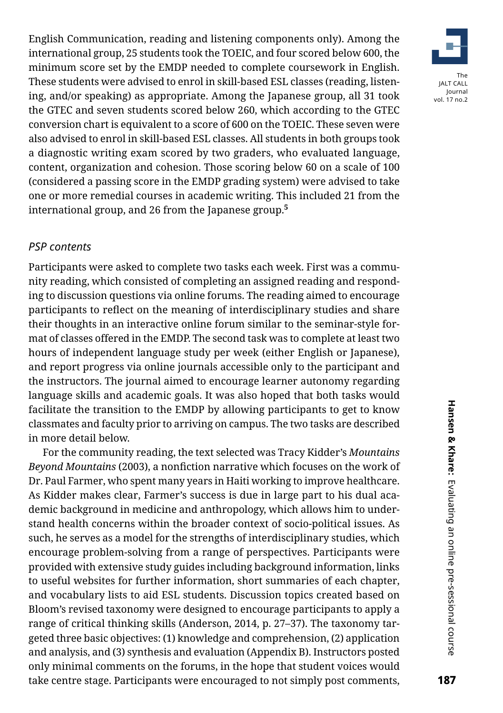English Communication, reading and listening components only). Among the international group, 25 students took the TOEIC, and four scored below 600, the minimum score set by the EMDP needed to complete coursework in English. These students were advised to enrol in skill-based ESL classes (reading, listening, and/or speaking) as appropriate. Among the Japanese group, all 31 took the GTEC and seven students scored below 260, which according to the GTEC conversion chart is equivalent to a score of 600 on the TOEIC. These seven were also advised to enrol in skill-based ESL classes. All students in both groups took a diagnostic writing exam scored by two graders, who evaluated language, content, organization and cohesion. Those scoring below 60 on a scale of 100 (considered a passing score in the EMDP grading system) were advised to take one or more remedial courses in academic writing. This included 21 from the international group, and 26 from the Japanese group.**<sup>5</sup>**

#### *PSP contents*

Participants were asked to complete two tasks each week. First was a community reading, which consisted of completing an assigned reading and responding to discussion questions via online forums. The reading aimed to encourage participants to reflect on the meaning of interdisciplinary studies and share their thoughts in an interactive online forum similar to the seminar-style format of classes offered in the EMDP. The second task was to complete at least two hours of independent language study per week (either English or Japanese), and report progress via online journals accessible only to the participant and the instructors. The journal aimed to encourage learner autonomy regarding language skills and academic goals. It was also hoped that both tasks would facilitate the transition to the EMDP by allowing participants to get to know classmates and faculty prior to arriving on campus. The two tasks are described in more detail below.

For the community reading, the text selected was Tracy Kidder's *Mountains Beyond Mountains* (2003), a nonfiction narrative which focuses on the work of Dr. Paul Farmer, who spent many years in Haiti working to improve healthcare. As Kidder makes clear, Farmer's success is due in large part to his dual academic background in medicine and anthropology, which allows him to understand health concerns within the broader context of socio-political issues. As such, he serves as a model for the strengths of interdisciplinary studies, which encourage problem-solving from a range of perspectives. Participants were provided with extensive study guides including background information, links to useful websites for further information, short summaries of each chapter, and vocabulary lists to aid ESL students. Discussion topics created based on Bloom's revised taxonomy were designed to encourage participants to apply a range of critical thinking skills (Anderson, 2014, p. 27–37). The taxonomy targeted three basic objectives: (1) knowledge and comprehension, (2) application and analysis, and (3) synthesis and evaluation (Appendix B). Instructors posted only minimal comments on the forums, in the hope that student voices would take centre stage. Participants were encouraged to not simply post comments,

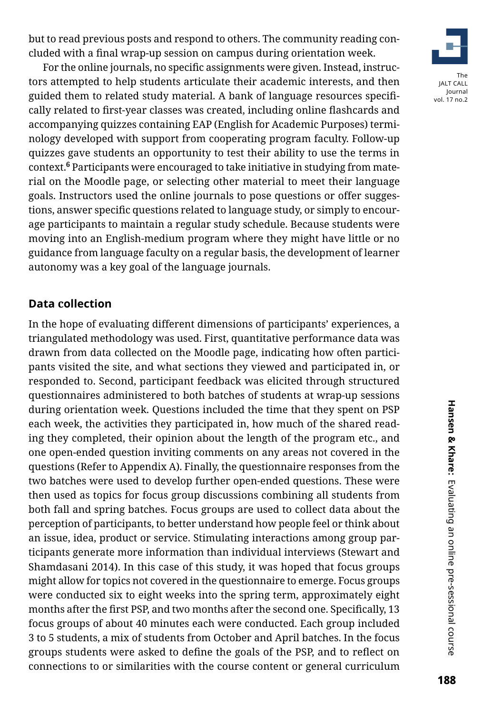but to read previous posts and respond to others. The community reading concluded with a final wrap-up session on campus during orientation week.

For the online journals, no specific assignments were given. Instead, instructors attempted to help students articulate their academic interests, and then guided them to related study material. A bank of language resources specifically related to first-year classes was created, including online flashcards and accompanying quizzes containing EAP (English for Academic Purposes) terminology developed with support from cooperating program faculty. Follow-up quizzes gave students an opportunity to test their ability to use the terms in context.**<sup>6</sup>** Participants were encouraged to take initiative in studying from material on the Moodle page, or selecting other material to meet their language goals. Instructors used the online journals to pose questions or offer suggestions, answer specific questions related to language study, or simply to encourage participants to maintain a regular study schedule. Because students were moving into an English-medium program where they might have little or no guidance from language faculty on a regular basis, the development of learner autonomy was a key goal of the language journals.

### **Data collection**

In the hope of evaluating different dimensions of participants' experiences, a triangulated methodology was used. First, quantitative performance data was drawn from data collected on the Moodle page, indicating how often participants visited the site, and what sections they viewed and participated in, or responded to. Second, participant feedback was elicited through structured questionnaires administered to both batches of students at wrap-up sessions during orientation week. Questions included the time that they spent on PSP each week, the activities they participated in, how much of the shared reading they completed, their opinion about the length of the program etc., and one open-ended question inviting comments on any areas not covered in the questions (Refer to Appendix A). Finally, the questionnaire responses from the two batches were used to develop further open-ended questions. These were then used as topics for focus group discussions combining all students from both fall and spring batches. Focus groups are used to collect data about the perception of participants, to better understand how people feel or think about an issue, idea, product or service. Stimulating interactions among group participants generate more information than individual interviews (Stewart and Shamdasani 2014). In this case of this study, it was hoped that focus groups might allow for topics not covered in the questionnaire to emerge. Focus groups were conducted six to eight weeks into the spring term, approximately eight months after the first PSP, and two months after the second one. Specifically, 13 focus groups of about 40 minutes each were conducted. Each group included 3 to 5 students, a mix of students from October and April batches. In the focus groups students were asked to define the goals of the PSP, and to reflect on connections to or similarities with the course content or general curriculum

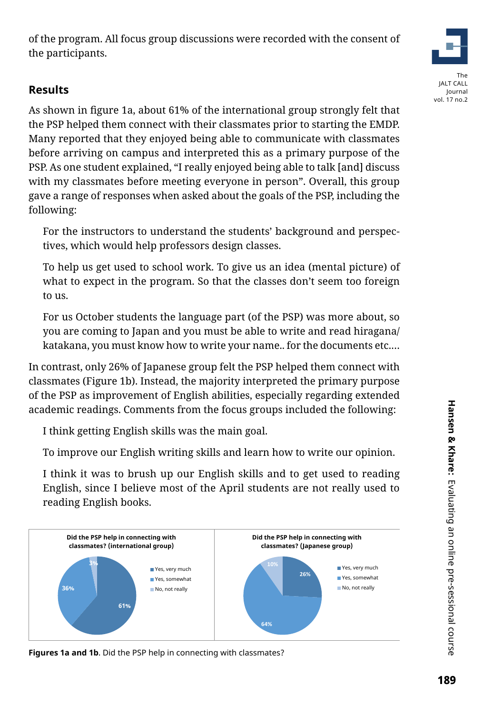of the program. All focus group discussions were recorded with the consent of the participants.

# **Results**

As shown in figure 1a, about 61% of the international group strongly felt that the PSP helped them connect with their classmates prior to starting the EMDP. Many reported that they enjoyed being able to communicate with classmates before arriving on campus and interpreted this as a primary purpose of the PSP. As one student explained, "I really enjoyed being able to talk [and] discuss with my classmates before meeting everyone in person". Overall, this group gave a range of responses when asked about the goals of the PSP, including the following:

For the instructors to understand the students' background and perspectives, which would help professors design classes.

To help us get used to school work. To give us an idea (mental picture) of what to expect in the program. So that the classes don't seem too foreign to us.

For us October students the language part (of the PSP) was more about, so you are coming to Japan and you must be able to write and read hiragana/ katakana, you must know how to write your name.. for the documents etc.…

In contrast, only 26% of Japanese group felt the PSP helped them connect with classmates (Figure 1b). Instead, the majority interpreted the primary purpose of the PSP as improvement of English abilities, especially regarding extended academic readings. Comments from the focus groups included the following:

I think getting English skills was the main goal.

To improve our English writing skills and learn how to write our opinion.

I think it was to brush up our English skills and to get used to reading English, since I believe most of the April students are not really used to reading English books.



**Figures 1a and 1b**. Did the PSP help in connecting with classmates?

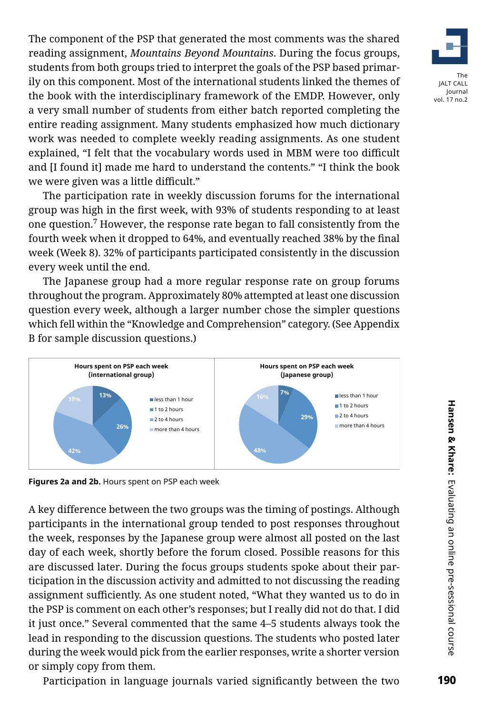The component of the PSP that generated the most comments was the shared reading assignment, *Mountains Beyond Mountains*. During the focus groups, students from both groups tried to interpret the goals of the PSP based primarily on this component. Most of the international students linked the themes of the book with the interdisciplinary framework of the EMDP. However, only a very small number of students from either batch reported completing the entire reading assignment. Many students emphasized how much dictionary work was needed to complete weekly reading assignments. As one student explained, "I felt that the vocabulary words used in MBM were too difficult and [I found it] made me hard to understand the contents." "I think the book we were given was a little difficult."

The participation rate in weekly discussion forums for the international group was high in the first week, with 93% of students responding to at least one question.**<sup>7</sup>** However, the response rate began to fall consistently from the fourth week when it dropped to 64%, and eventually reached 38% by the final week (Week 8). 32% of participants participated consistently in the discussion every week until the end.

The Japanese group had a more regular response rate on group forums throughout the program. Approximately 80% attempted at least one discussion question every week, although a larger number chose the simpler questions which fell within the "Knowledge and Comprehension" category. (See Appendix B for sample discussion questions.)



**Figures 2a and 2b.** Hours spent on PSP each week

A key difference between the two groups was the timing of postings. Although participants in the international group tended to post responses throughout the week, responses by the Japanese group were almost all posted on the last day of each week, shortly before the forum closed. Possible reasons for this are discussed later. During the focus groups students spoke about their participation in the discussion activity and admitted to not discussing the reading assignment sufficiently. As one student noted, "What they wanted us to do in the PSP is comment on each other's responses; but I really did not do that. I did it just once." Several commented that the same 4–5 students always took the lead in responding to the discussion questions. The students who posted later during the week would pick from the earlier responses, write a shorter version or simply copy from them.

Participation in language journals varied significantly between the two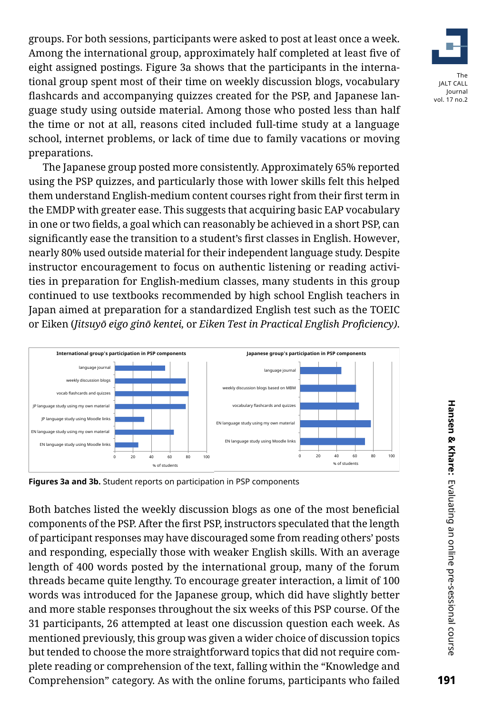groups. For both sessions, participants were asked to post at least once a week. Among the international group, approximately half completed at least five of eight assigned postings. Figure 3a shows that the participants in the international group spent most of their time on weekly discussion blogs, vocabulary flashcards and accompanying quizzes created for the PSP, and Japanese language study using outside material. Among those who posted less than half the time or not at all, reasons cited included full-time study at a language school, internet problems, or lack of time due to family vacations or moving preparations.

The Japanese group posted more consistently. Approximately 65% reported using the PSP quizzes, and particularly those with lower skills felt this helped them understand English-medium content courses right from their first term in the EMDP with greater ease. This suggests that acquiring basic EAP vocabulary in one or two fields, a goal which can reasonably be achieved in a short PSP, can significantly ease the transition to a student's first classes in English. However, nearly 80% used outside material for their independent language study. Despite instructor encouragement to focus on authentic listening or reading activities in preparation for English-medium classes, many students in this group continued to use textbooks recommended by high school English teachers in Japan aimed at preparation for a standardized English test such as the TOEIC or Eiken (*Jitsuyō eigo ginō kentei,* or *Eiken Test in Practical English Proficiency)*.



**Figures 3a and 3b.** Student reports on participation in PSP components

Both batches listed the weekly discussion blogs as one of the most beneficial components of the PSP. After the first PSP, instructors speculated that the length of participant responses may have discouraged some from reading others' posts and responding, especially those with weaker English skills. With an average length of 400 words posted by the international group, many of the forum threads became quite lengthy. To encourage greater interaction, a limit of 100 words was introduced for the Japanese group, which did have slightly better and more stable responses throughout the six weeks of this PSP course. Of the 31 participants, 26 attempted at least one discussion question each week. As mentioned previously, this group was given a wider choice of discussion topics but tended to choose the more straightforward topics that did not require complete reading or comprehension of the text, falling within the "Knowledge and Comprehension" category. As with the online forums, participants who failed

The JALT CALL Journal vol. 17 no.2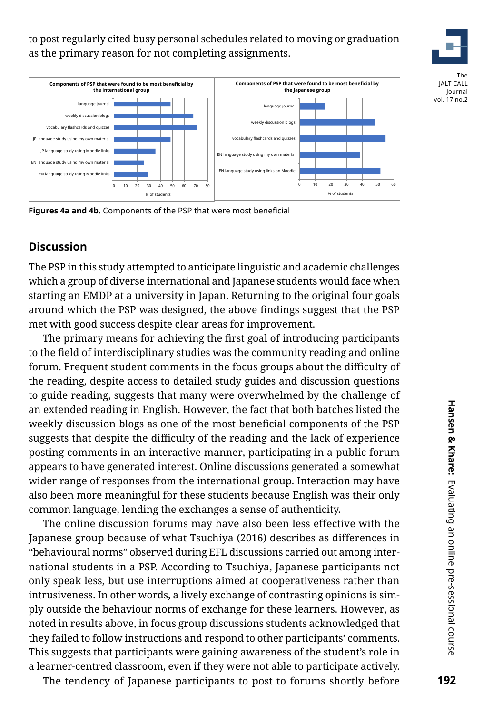to post regularly cited busy personal schedules related to moving or graduation as the primary reason for not completing assignments.



The JALT CALL Journal vol. 17 no.2



**Figures 4a and 4b.** Components of the PSP that were most beneficial

# **Discussion**

The PSP in this study attempted to anticipate linguistic and academic challenges which a group of diverse international and Japanese students would face when starting an EMDP at a university in Japan. Returning to the original four goals around which the PSP was designed, the above findings suggest that the PSP met with good success despite clear areas for improvement.

The primary means for achieving the first goal of introducing participants to the field of interdisciplinary studies was the community reading and online forum. Frequent student comments in the focus groups about the difficulty of the reading, despite access to detailed study guides and discussion questions to guide reading, suggests that many were overwhelmed by the challenge of an extended reading in English. However, the fact that both batches listed the weekly discussion blogs as one of the most beneficial components of the PSP suggests that despite the difficulty of the reading and the lack of experience posting comments in an interactive manner, participating in a public forum appears to have generated interest. Online discussions generated a somewhat wider range of responses from the international group. Interaction may have also been more meaningful for these students because English was their only common language, lending the exchanges a sense of authenticity.

The online discussion forums may have also been less effective with the Japanese group because of what Tsuchiya (2016) describes as differences in "behavioural norms" observed during EFL discussions carried out among international students in a PSP. According to Tsuchiya, Japanese participants not only speak less, but use interruptions aimed at cooperativeness rather than intrusiveness. In other words, a lively exchange of contrasting opinions is simply outside the behaviour norms of exchange for these learners. However, as noted in results above, in focus group discussions students acknowledged that they failed to follow instructions and respond to other participants' comments. This suggests that participants were gaining awareness of the student's role in a learner-centred classroom, even if they were not able to participate actively.

The tendency of Japanese participants to post to forums shortly before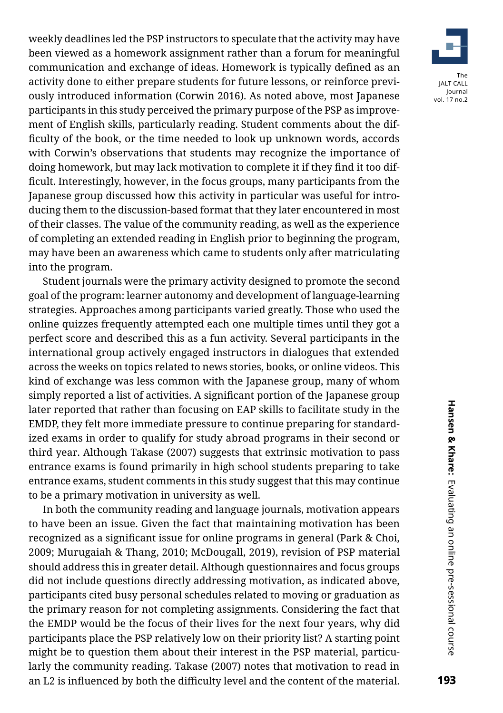weekly deadlines led the PSP instructors to speculate that the activity may have been viewed as a homework assignment rather than a forum for meaningful communication and exchange of ideas. Homework is typically defined as an activity done to either prepare students for future lessons, or reinforce previously introduced information (Corwin 2016). As noted above, most Japanese participants in this study perceived the primary purpose of the PSP as improvement of English skills, particularly reading. Student comments about the difficulty of the book, or the time needed to look up unknown words, accords with Corwin's observations that students may recognize the importance of doing homework, but may lack motivation to complete it if they find it too difficult. Interestingly, however, in the focus groups, many participants from the Japanese group discussed how this activity in particular was useful for introducing them to the discussion-based format that they later encountered in most of their classes. The value of the community reading, as well as the experience of completing an extended reading in English prior to beginning the program, may have been an awareness which came to students only after matriculating into the program.

Student journals were the primary activity designed to promote the second goal of the program: learner autonomy and development of language-learning strategies. Approaches among participants varied greatly. Those who used the online quizzes frequently attempted each one multiple times until they got a perfect score and described this as a fun activity. Several participants in the international group actively engaged instructors in dialogues that extended across the weeks on topics related to news stories, books, or online videos. This kind of exchange was less common with the Japanese group, many of whom simply reported a list of activities. A significant portion of the Japanese group later reported that rather than focusing on EAP skills to facilitate study in the EMDP, they felt more immediate pressure to continue preparing for standardized exams in order to qualify for study abroad programs in their second or third year. Although Takase (2007) suggests that extrinsic motivation to pass entrance exams is found primarily in high school students preparing to take entrance exams, student comments in this study suggest that this may continue to be a primary motivation in university as well.

In both the community reading and language journals, motivation appears to have been an issue. Given the fact that maintaining motivation has been recognized as a significant issue for online programs in general (Park & Choi, 2009; Murugaiah & Thang, 2010; McDougall, 2019), revision of PSP material should address this in greater detail. Although questionnaires and focus groups did not include questions directly addressing motivation, as indicated above, participants cited busy personal schedules related to moving or graduation as the primary reason for not completing assignments. Considering the fact that the EMDP would be the focus of their lives for the next four years, why did participants place the PSP relatively low on their priority list? A starting point might be to question them about their interest in the PSP material, particularly the community reading. Takase (2007) notes that motivation to read in an L2 is influenced by both the difficulty level and the content of the material.

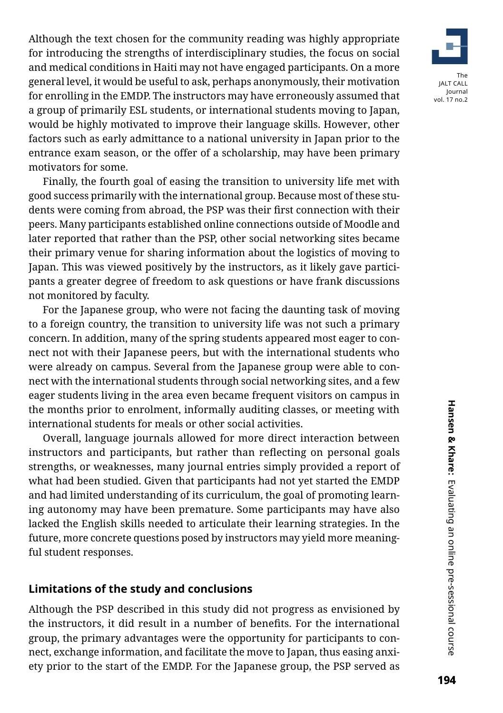Although the text chosen for the community reading was highly appropriate for introducing the strengths of interdisciplinary studies, the focus on social and medical conditions in Haiti may not have engaged participants. On a more general level, it would be useful to ask, perhaps anonymously, their motivation for enrolling in the EMDP. The instructors may have erroneously assumed that a group of primarily ESL students, or international students moving to Japan, would be highly motivated to improve their language skills. However, other factors such as early admittance to a national university in Japan prior to the entrance exam season, or the offer of a scholarship, may have been primary motivators for some.

Finally, the fourth goal of easing the transition to university life met with good success primarily with the international group. Because most of these students were coming from abroad, the PSP was their first connection with their peers. Many participants established online connections outside of Moodle and later reported that rather than the PSP, other social networking sites became their primary venue for sharing information about the logistics of moving to Japan. This was viewed positively by the instructors, as it likely gave participants a greater degree of freedom to ask questions or have frank discussions not monitored by faculty.

For the Japanese group, who were not facing the daunting task of moving to a foreign country, the transition to university life was not such a primary concern. In addition, many of the spring students appeared most eager to connect not with their Japanese peers, but with the international students who were already on campus. Several from the Japanese group were able to connect with the international students through social networking sites, and a few eager students living in the area even became frequent visitors on campus in the months prior to enrolment, informally auditing classes, or meeting with international students for meals or other social activities.

Overall, language journals allowed for more direct interaction between instructors and participants, but rather than reflecting on personal goals strengths, or weaknesses, many journal entries simply provided a report of what had been studied. Given that participants had not yet started the EMDP and had limited understanding of its curriculum, the goal of promoting learning autonomy may have been premature. Some participants may have also lacked the English skills needed to articulate their learning strategies. In the future, more concrete questions posed by instructors may yield more meaningful student responses.

# **Limitations of the study and conclusions**

Although the PSP described in this study did not progress as envisioned by the instructors, it did result in a number of benefits. For the international group, the primary advantages were the opportunity for participants to connect, exchange information, and facilitate the move to Japan, thus easing anxiety prior to the start of the EMDP. For the Japanese group, the PSP served as



The JALT CALL Journal vol. 17 no.2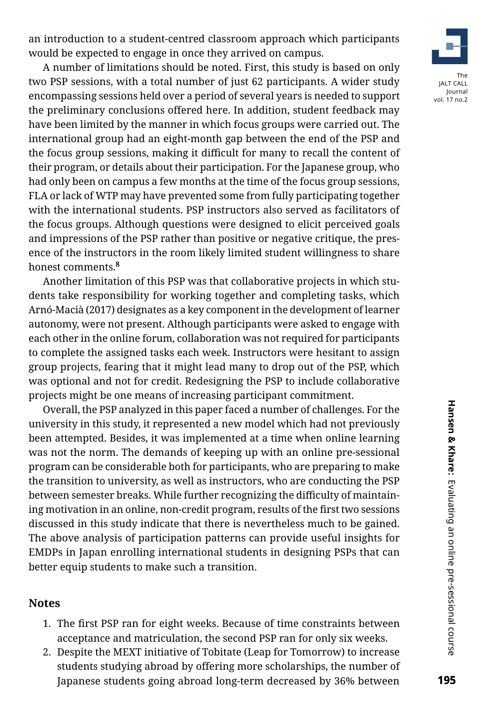an introduction to a student-centred classroom approach which participants would be expected to engage in once they arrived on campus.

A number of limitations should be noted. First, this study is based on only two PSP sessions, with a total number of just 62 participants. A wider study encompassing sessions held over a period of several years is needed to support the preliminary conclusions offered here. In addition, student feedback may have been limited by the manner in which focus groups were carried out. The international group had an eight-month gap between the end of the PSP and the focus group sessions, making it difficult for many to recall the content of their program, or details about their participation. For the Japanese group, who had only been on campus a few months at the time of the focus group sessions, FLA or lack of WTP may have prevented some from fully participating together with the international students. PSP instructors also served as facilitators of the focus groups. Although questions were designed to elicit perceived goals and impressions of the PSP rather than positive or negative critique, the presence of the instructors in the room likely limited student willingness to share honest comments.**<sup>8</sup>**

Another limitation of this PSP was that collaborative projects in which students take responsibility for working together and completing tasks, which Arnó-Macià (2017) designates as a key component in the development of learner autonomy, were not present. Although participants were asked to engage with each other in the online forum, collaboration was not required for participants to complete the assigned tasks each week. Instructors were hesitant to assign group projects, fearing that it might lead many to drop out of the PSP, which was optional and not for credit. Redesigning the PSP to include collaborative projects might be one means of increasing participant commitment.

Overall, the PSP analyzed in this paper faced a number of challenges. For the university in this study, it represented a new model which had not previously been attempted. Besides, it was implemented at a time when online learning was not the norm. The demands of keeping up with an online pre-sessional program can be considerable both for participants, who are preparing to make the transition to university, as well as instructors, who are conducting the PSP between semester breaks. While further recognizing the difficulty of maintaining motivation in an online, non-credit program, results of the first two sessions discussed in this study indicate that there is nevertheless much to be gained. The above analysis of participation patterns can provide useful insights for EMDPs in Japan enrolling international students in designing PSPs that can better equip students to make such a transition.

#### **Notes**

- 1. The first PSP ran for eight weeks. Because of time constraints between acceptance and matriculation, the second PSP ran for only six weeks.
- 2. Despite the MEXT initiative of Tobitate (Leap for Tomorrow) to increase students studying abroad by offering more scholarships, the number of Japanese students going abroad long-term decreased by 36% between

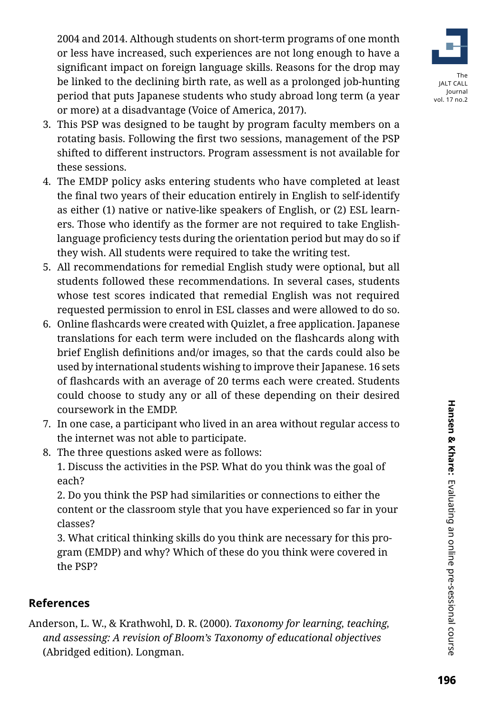2004 and 2014. Although students on short-term programs of one month or less have increased, such experiences are not long enough to have a significant impact on foreign language skills. Reasons for the drop may be linked to the declining birth rate, as well as a prolonged job-hunting period that puts Japanese students who study abroad long term (a year or more) at a disadvantage (Voice of America, 2017).

- 3. This PSP was designed to be taught by program faculty members on a rotating basis. Following the first two sessions, management of the PSP shifted to different instructors. Program assessment is not available for these sessions.
- 4. The EMDP policy asks entering students who have completed at least the final two years of their education entirely in English to self-identify as either (1) native or native-like speakers of English, or (2) ESL learners. Those who identify as the former are not required to take Englishlanguage proficiency tests during the orientation period but may do so if they wish. All students were required to take the writing test.
- 5. All recommendations for remedial English study were optional, but all students followed these recommendations. In several cases, students whose test scores indicated that remedial English was not required requested permission to enrol in ESL classes and were allowed to do so.
- 6. Online flashcards were created with Quizlet, a free application. Japanese translations for each term were included on the flashcards along with brief English definitions and/or images, so that the cards could also be used by international students wishing to improve their Japanese. 16 sets of flashcards with an average of 20 terms each were created. Students could choose to study any or all of these depending on their desired coursework in the EMDP.
- 7. In one case, a participant who lived in an area without regular access to the internet was not able to participate.
- 8. The three questions asked were as follows:

1. Discuss the activities in the PSP. What do you think was the goal of each?

2. Do you think the PSP had similarities or connections to either the content or the classroom style that you have experienced so far in your classes?

3. What critical thinking skills do you think are necessary for this program (EMDP) and why? Which of these do you think were covered in the PSP?

# **References**

Anderson, L. W., & Krathwohl, D. R. (2000). *Taxonomy for learning, teaching, and assessing: A revision of Bloom's Taxonomy of educational objectives*  (Abridged edition). Longman.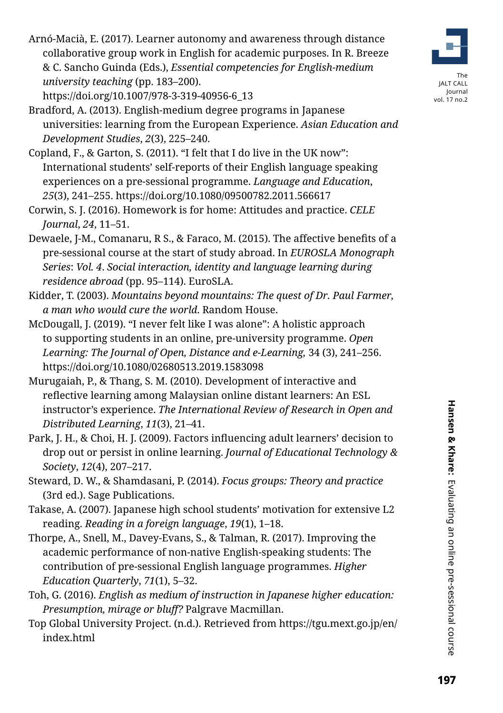The

Arnó-Macià, E. (2017). Learner autonomy and awareness through distance collaborative group work in English for academic purposes. In R. Breeze & C. Sancho Guinda (Eds.), *Essential competencies for English-medium university teaching* (pp. 183–200).

https://doi.org/10.1007/978-3-319-40956-6\_13

- Bradford, A. (2013). English-medium degree programs in Japanese universities: learning from the European Experience. *Asian Education and Development Studies*, *2*(3), 225–240.
- Copland, F., & Garton, S. (2011). "I felt that I do live in the UK now": International students' self-reports of their English language speaking experiences on a pre-sessional programme. *Language and Education*, *25*(3), 241–255. https://doi.org/10.1080/09500782.2011.566617
- Corwin, S. J. (2016). Homework is for home: Attitudes and practice. *CELE Journal*, *24*, 11–51.
- Dewaele, J-M., Comanaru, R S., & Faraco, M. (2015). The affective benefits of a pre-sessional course at the start of study abroad. In *EUROSLA Monograph Series*: *Vol. 4*. *Social interaction, identity and language learning during residence abroad* (pp. 95–114). EuroSLA.
- Kidder, T. (2003). *Mountains beyond mountains: The quest of Dr. Paul Farmer, a man who would cure the world*. Random House.
- McDougall, J. (2019). "I never felt like I was alone": A holistic approach to supporting students in an online, pre-university programme. *Open*  Learning: The Journal of Open, Distance and e-Learning, 34 (3), 241–256. https://doi.org/10.1080/02680513.2019.1583098
- Murugaiah, P., & Thang, S. M. (2010). Development of interactive and reflective learning among Malaysian online distant learners: An ESL instructor's experience. *The International Review of Research in Open and Distributed Learning*, *11*(3), 21–41.
- Park, J. H., & Choi, H. J. (2009). Factors influencing adult learners' decision to drop out or persist in online learning. *Journal of Educational Technology & Society*, *12*(4), 207–217.
- Steward, D. W., & Shamdasani, P. (2014). *Focus groups: Theory and practice* (3rd ed.). Sage Publications.
- Takase, A. (2007). Japanese high school students' motivation for extensive L2 reading. *Reading in a foreign language*, *19*(1), 1–18.
- Thorpe, A., Snell, M., Davey-Evans, S., & Talman, R. (2017). Improving the academic performance of non-native English-speaking students: The contribution of pre-sessional English language programmes. *Higher Education Quarterly*, *71*(1), 5–32.
- Toh, G. (2016). *English as medium of instruction in Japanese higher education: Presumption, mirage or bluff?* Palgrave Macmillan.
- Top Global University Project. (n.d.). Retrieved from https://tgu.mext.go.jp/en/ index.html

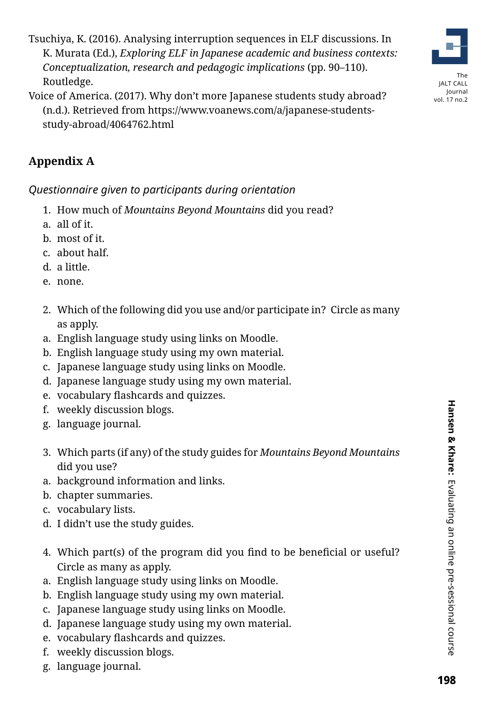Tsuchiya, K. (2016). Analysing interruption sequences in ELF discussions. In K. Murata (Ed.), *Exploring ELF in Japanese academic and business contexts: Conceptualization, research and pedagogic implications* (pp. 90–110). Routledge.



# **Appendix A**

*Questionnaire given to participants during orientation* 

- 1. How much of *Mountains Beyond Mountains* did you read?
- a. all of it.
- b. most of it.
- c. about half.
- d. a little.
- e. none.
- 2. Which of the following did you use and/or participate in? Circle as many as apply.
- a. English language study using links on Moodle.
- b. English language study using my own material.
- c. Japanese language study using links on Moodle.
- d. Japanese language study using my own material.
- e. vocabulary flashcards and quizzes.
- f. weekly discussion blogs.
- g. language journal.
- 3. Which parts (if any) of the study guides for *Mountains Beyond Mountains* did you use?
- a. background information and links.
- b. chapter summaries.
- c. vocabulary lists.
- d. I didn't use the study guides.
- 4. Which part(s) of the program did you find to be beneficial or useful? Circle as many as apply.
- a. English language study using links on Moodle.
- b. English language study using my own material.
- c. Japanese language study using links on Moodle.
- d. Japanese language study using my own material.
- e. vocabulary flashcards and quizzes.
- f. weekly discussion blogs.
- g. language journal.



The JALT CALL Journal vol. 17 no.2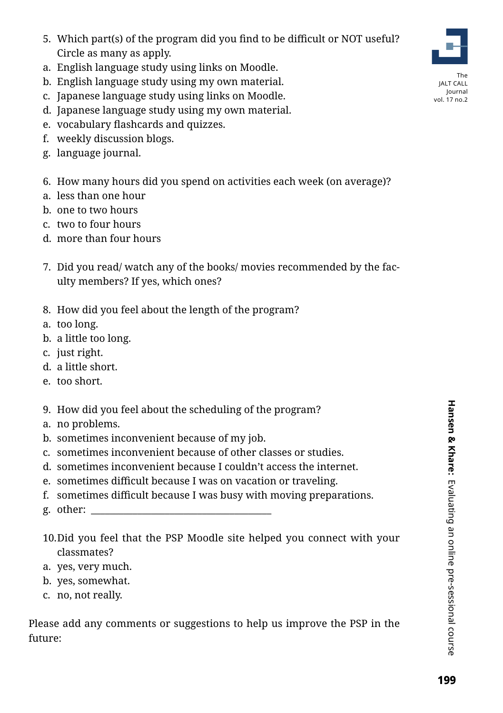- 5. Which part(s) of the program did you find to be difficult or NOT useful? Circle as many as apply.
- a. English language study using links on Moodle.
- b. English language study using my own material.
- c. Japanese language study using links on Moodle.
- d. Japanese language study using my own material.
- e. vocabulary flashcards and quizzes.
- f. weekly discussion blogs.
- g. language journal.
- 6. How many hours did you spend on activities each week (on average)?
- a. less than one hour
- b. one to two hours
- c. two to four hours
- d. more than four hours
- 7. Did you read/ watch any of the books/ movies recommended by the faculty members? If yes, which ones?
- 8. How did you feel about the length of the program?
- a. too long.
- b. a little too long.
- c. just right.
- d. a little short.
- e. too short.
- 9. How did you feel about the scheduling of the program?
- a. no problems.
- b. sometimes inconvenient because of my job.
- c. sometimes inconvenient because of other classes or studies.
- d. sometimes inconvenient because I couldn't access the internet.
- e. sometimes difficult because I was on vacation or traveling.
- f. sometimes difficult because I was busy with moving preparations.
- g. other:
- 10.Did you feel that the PSP Moodle site helped you connect with your classmates?
- a. yes, very much.
- b. yes, somewhat.
- c. no, not really.

Please add any comments or suggestions to help us improve the PSP in the future:



The JALT CALL Journal vol. 17 no.2